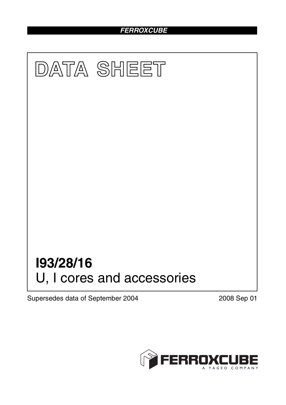# *FERROXCUBE*



Supersedes data of September 2004 2008 Sep 01

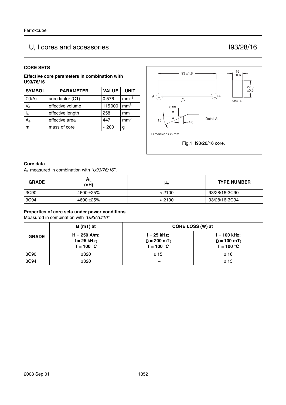# U, I cores and accessories I93/28/16

#### **CORE SETS**

**Effective core parameters in combination with U93/76/16**

| <b>SYMBOL</b>             | <b>PARAMETER</b> | <b>VALUE</b>  | <b>UNIT</b>     |
|---------------------------|------------------|---------------|-----------------|
| $\Sigma(I/A)$             | core factor (C1) | 0.576         | $mm-1$          |
| $V_{\rm e}$               | effective volume | 115000        | mm <sup>3</sup> |
| $\mathsf{I}_{\mathsf{e}}$ | effective length | 258           | mm              |
| $A_{\rm e}$               | effective area   | 447           | mm <sup>2</sup> |
|                           | mass of core     | $\approx 200$ | g               |



#### **Core data**

AL measured in combination with *"U93/76/16"*.

| <b>GRADE</b> | $A_L$<br>(nH) | μ <sub>e</sub> | <b>TYPE NUMBER</b> |
|--------------|---------------|----------------|--------------------|
| 3C90         | 4600 ± 25%    | $\approx$ 2100 | I93/28/16-3C90     |
| 3C94         | 4600 ± 25%    | $\approx$ 2100 | I93/28/16-3C94     |

#### **Properties of core sets under power conditions**

Measured in combination with *"U93/76/16"*.

|              | B (mT) at                                       | CORE LOSS (W) at                               |                                                 |
|--------------|-------------------------------------------------|------------------------------------------------|-------------------------------------------------|
| <b>GRADE</b> | $H = 250$ A/m;<br>$f = 25$ kHz;<br>$T = 100 °C$ | $f = 25$ kHz;<br>$B = 200$ mT;<br>$T = 100 °C$ | $f = 100$ kHz;<br>$B = 100$ mT;<br>$T = 100 °C$ |
| 3C90         | >320                                            | $\leq 15$                                      | $\leq 16$                                       |
| 3C94         | $\geq$ 320                                      |                                                | $\leq 13$                                       |